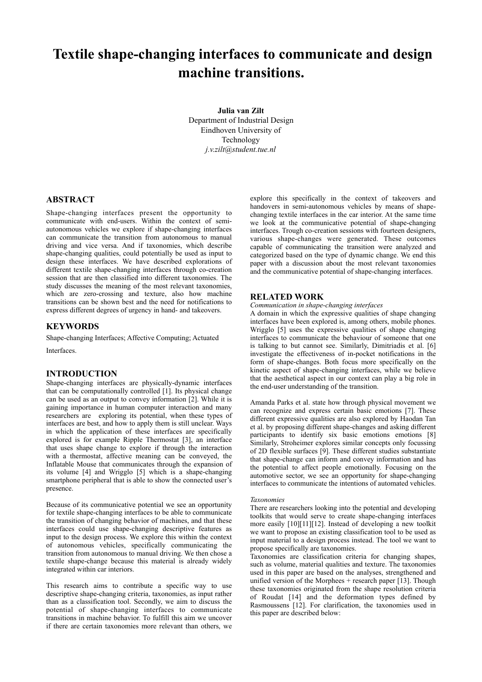# **Textile shape-changing interfaces to communicate and design machine transitions.**

**Julia van Zilt** Department of Industrial Design Eindhoven University of Technology *[j.v.zilt@student.tue.nl](mailto:j.v.zilt@student.tue.nl)*

# **ABSTRACT**

Shape-changing interfaces present the opportunity to communicate with end-users. Within the context of semiautonomous vehicles we explore if shape-changing interfaces can communicate the transition from autonomous to manual driving and vice versa. And if taxonomies, which describe shape-changing qualities, could potentially be used as input to design these interfaces. We have described explorations of different textile shape-changing interfaces through co-creation session that are then classified into different taxonomies. The study discusses the meaning of the most relevant taxonomies, which are zero-crossing and texture, also how machine transitions can be shown best and the need for notifications to express different degrees of urgency in hand- and takeovers.

## **KEYWORDS**

Shape-changing Interfaces; Affective Computing; Actuated

Interfaces.

## **INTRODUCTION**

Shape-changing interfaces are physically-dynamic interfaces that can be computationally controlled [1]. Its physical change can be used as an output to convey information [2]. While it is gaining importance in human computer interaction and many researchers are exploring its potential, when these types of interfaces are best, and how to apply them is still unclear. Ways in which the application of these interfaces are specifically explored is for example Ripple Thermostat [3], an interface that uses shape change to explore if through the interaction with a thermostat, affective meaning can be conveyed, the Inflatable Mouse that communicates through the expansion of its volume [4] and Wrigglo [5] which is a shape-changing smartphone peripheral that is able to show the connected user's presence.

Because of its communicative potential we see an opportunity for textile shape-changing interfaces to be able to communicate the transition of changing behavior of machines, and that these interfaces could use shape-changing descriptive features as input to the design process. We explore this within the context of autonomous vehicles, specifically communicating the transition from autonomous to manual driving. We then chose a textile shape-change because this material is already widely integrated within car interiors.

This research aims to contribute a specific way to use descriptive shape-changing criteria, taxonomies, as input rather than as a classification tool. Secondly, we aim to discuss the potential of shape-changing interfaces to communicate transitions in machine behavior. To fulfill this aim we uncover if there are certain taxonomies more relevant than others, we explore this specifically in the context of takeovers and handovers in semi-autonomous vehicles by means of shapechanging textile interfaces in the car interior. At the same time we look at the communicative potential of shape-changing interfaces. Trough co-creation sessions with fourteen designers, various shape-changes were generated. These outcomes capable of communicating the transition were analyzed and categorized based on the type of dynamic change. We end this paper with a discussion about the most relevant taxonomies and the communicative potential of shape-changing interfaces.

## **RELATED WORK**

## *Communication in shape-changing interfaces*

A domain in which the expressive qualities of shape changing interfaces have been explored is, among others, mobile phones. Wrigglo [5] uses the expressive qualities of shape changing interfaces to communicate the behaviour of someone that one is talking to but cannot see. Similarly, Dimitriadis et al. [6] investigate the effectiveness of in-pocket notifications in the form of shape-changes. Both focus more specifically on the kinetic aspect of shape-changing interfaces, while we believe that the aesthetical aspect in our context can play a big role in the end-user understanding of the transition.

Amanda Parks et al. state how through physical movement we can recognize and express certain basic emotions [7]. These different expressive qualities are also explored by Haodan Tan et al. by proposing different shape-changes and asking different participants to identify six basic emotions emotions [8] Similarly, Stroheimer explores similar concepts only focussing of 2D flexible surfaces [9]. These different studies substantiate that shape-change can inform and convey information and has the potential to affect people emotionally. Focusing on the automotive sector, we see an opportunity for shape-changing interfaces to communicate the intentions of automated vehicles.

#### *Taxonomies*

There are researchers looking into the potential and developing toolkits that would serve to create shape-changing interfaces more easily [10][11][12]. Instead of developing a new toolkit we want to propose an existing classification tool to be used as input material to a design process instead. The tool we want to propose specifically are taxonomies.

Taxonomies are classification criteria for changing shapes, such as volume, material qualities and texture. The taxonomies used in this paper are based on the analyses, strengthened and unified version of the Morphees  $+$  research paper [13]. Though these taxonomies originated from the shape resolution criteria of Roudat [14] and the deformation types defined by Rasmoussens [12]. For clarification, the taxonomies used in this paper are described below: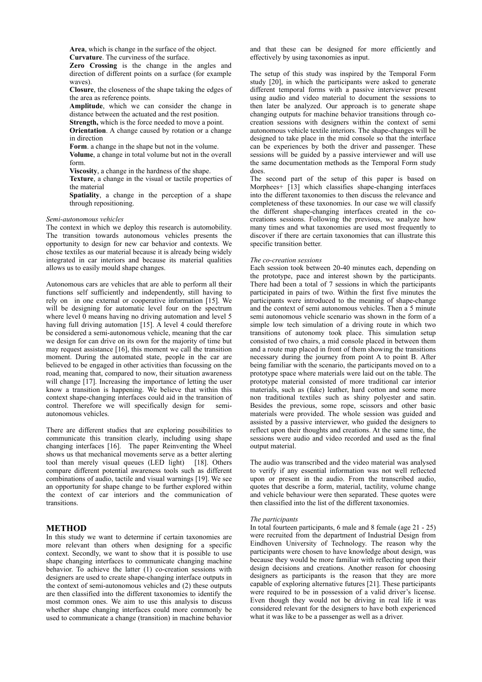**Area**, which is change in the surface of the object. **Curvature**. The curviness of the surface.

**Zero Crossing** is the change in the angles and direction of different points on a surface (for example waves).

**Closure**, the closeness of the shape taking the edges of the area as reference points.

**Amplitude**, which we can consider the change in distance between the actuated and the rest position. **Strength,** which is the force needed to move a point.

**Orientation**. A change caused by rotation or a change in direction

**Form**. a change in the shape but not in the volume.

**Volume**, a change in total volume but not in the overall form.

**Viscosity**, a change in the hardness of the shape.

**Texture**, a change in the visual or tactile properties of the material

**Spatiality**, a change in the perception of a shape through repositioning.

#### *Semi-autonomous vehicles*

The context in which we deploy this research is automobility. The transition towards autonomous vehicles presents the opportunity to design for new car behavior and contexts. We chose textiles as our material because it is already being widely integrated in car interiors and because its material qualities allows us to easily mould shape changes.

Autonomous cars are vehicles that are able to perform all their functions self sufficiently and independently, still having to rely on in one external or cooperative information [15]. We will be designing for automatic level four on the spectrum where level  $\overline{0}$  means having no driving automation and level 5 having full driving automation [15]. A level 4 could therefore be considered a semi-autonomous vehicle, meaning that the car we design for can drive on its own for the majority of time but may request assistance [16], this moment we call the transition moment. During the automated state, people in the car are believed to be engaged in other activities than focussing on the road, meaning that, compared to now, their situation awareness will change [17]. Increasing the importance of letting the user know a transition is happening. We believe that within this context shape-changing interfaces could aid in the transition of control. Therefore we will specifically design for semiautonomous vehicles.

There are different studies that are exploring possibilities to communicate this transition clearly, including using shape changing interfaces [16]. The paper Reinventing the Wheel shows us that mechanical movements serve as a better alerting tool than merely visual queues (LED light) [18]. Others compare different potential awareness tools such as different combinations of audio, tactile and visual warnings [19]. We see an opportunity for shape change to be further explored within the context of car interiors and the communication of transitions.

## **METHOD**

In this study we want to determine if certain taxonomies are more relevant than others when designing for a specific context. Secondly, we want to show that it is possible to use shape changing interfaces to communicate changing machine behavior. To achieve the latter (1) co-creation sessions with designers are used to create shape-changing interface outputs in the context of semi-autonomous vehicles and (2) these outputs are then classified into the different taxonomies to identify the most common ones. We aim to use this analysis to discuss whether shape changing interfaces could more commonly be used to communicate a change (transition) in machine behavior and that these can be designed for more efficiently and effectively by using taxonomies as input.

The setup of this study was inspired by the Temporal Form study [20], in which the participants were asked to generate different temporal forms with a passive interviewer present using audio and video material to document the sessions to then later be analyzed. Our approach is to generate shape changing outputs for machine behavior transitions through cocreation sessions with designers within the context of semi autonomous vehicle textile interiors. The shape-changes will be designed to take place in the mid console so that the interface can be experiences by both the driver and passenger. These sessions will be guided by a passive interviewer and will use the same documentation methods as the Temporal Form study does.

The second part of the setup of this paper is based on Morphees+ [13] which classifies shape-changing interfaces into the different taxonomies to then discuss the relevance and completeness of these taxonomies. In our case we will classify the different shape-changing interfaces created in the cocreations sessions. Following the previous, we analyze how many times and what taxonomies are used most frequently to discover if there are certain taxonomies that can illustrate this specific transition better.

## *The co-creation sessions*

Each session took between 20-40 minutes each, depending on the prototype, pace and interest shown by the participants. There had been a total of 7 sessions in which the participants participated in pairs of two. Within the first five minutes the participants were introduced to the meaning of shape-change and the context of semi autonomous vehicles. Then a 5 minute semi autonomous vehicle scenario was shown in the form of a simple low tech simulation of a driving route in which two transitions of autonomy took place. This simulation setup consisted of two chairs, a mid console placed in between them and a route map placed in front of them showing the transitions necessary during the journey from point A to point B. After being familiar with the scenario, the participants moved on to a prototype space where materials were laid out on the table. The prototype material consisted of more traditional car interior materials, such as (fake) leather, hard cotton and some more non traditional textiles such as shiny polyester and satin. Besides the previous, some rope, scissors and other basic materials were provided. The whole session was guided and assisted by a passive interviewer, who guided the designers to reflect upon their thoughts and creations. At the same time, the sessions were audio and video recorded and used as the final output material.

The audio was transcribed and the video material was analysed to verify if any essential information was not well reflected upon or present in the audio. From the transcribed audio, quotes that describe a form, material, tactility, volume change and vehicle behaviour were then separated. These quotes were then classified into the list of the different taxonomies.

#### *The participants*

In total fourteen participants, 6 male and 8 female (age 21 - 25) were recruited from the department of Industrial Design from Eindhoven University of Technology. The reason why the participants were chosen to have knowledge about design, was because they would be more familiar with reflecting upon their design decisions and creations. Another reason for choosing designers as participants is the reason that they are more capable of exploring alternative futures [21]. These participants were required to be in possession of a valid driver's license. Even though they would not be driving in real life it was considered relevant for the designers to have both experienced what it was like to be a passenger as well as a driver.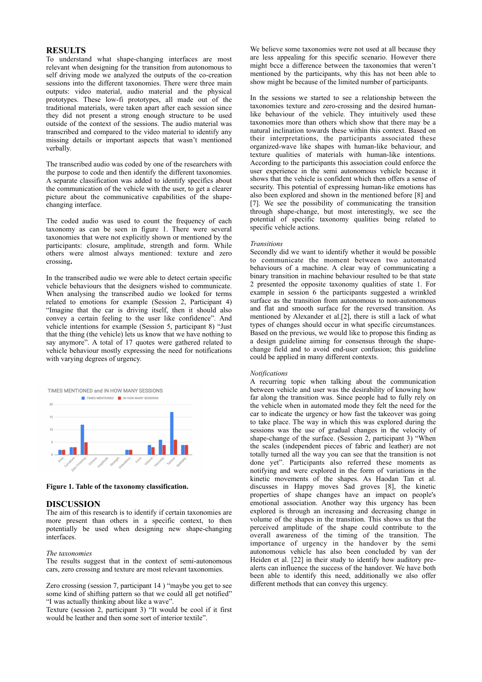# **RESULTS**

To understand what shape-changing interfaces are most relevant when designing for the transition from autonomous to self driving mode we analyzed the outputs of the co-creation sessions into the different taxonomies. There were three main outputs: video material, audio material and the physical prototypes. These low-fi prototypes, all made out of the traditional materials, were taken apart after each session since they did not present a strong enough structure to be used outside of the context of the sessions. The audio material was transcribed and compared to the video material to identify any missing details or important aspects that wasn't mentioned verbally.

The transcribed audio was coded by one of the researchers with the purpose to code and then identify the different taxonomies. A separate classification was added to identify specifics about the communication of the vehicle with the user, to get a clearer picture about the communicative capabilities of the shapechanging interface.

The coded audio was used to count the frequency of each taxonomy as can be seen in figure 1. There were several taxonomies that were not explicitly shown or mentioned by the participants: closure, amplitude, strength and form. While others were almost always mentioned: texture and zero crossing**.** 

In the transcribed audio we were able to detect certain specific vehicle behaviours that the designers wished to communicate. When analysing the transcribed audio we looked for terms related to emotions for example (Session 2, Participant 4) "Imagine that the car is driving itself, then it should also convey a certain feeling to the user like confidence". And vehicle intentions for example (Session 5, participant 8) "Just that the thing (the vehicle) lets us know that we have nothing to say anymore". A total of 17 quotes were gathered related to vehicle behaviour mostly expressing the need for notifications with varying degrees of urgency.



**Figure 1. Table of the taxonomy classification.** 

## **DISCUSSION**

The aim of this research is to identify if certain taxonomies are more present than others in a specific context, to then potentially be used when designing new shape-changing interfaces.

## *The taxonomies*

The results suggest that in the context of semi-autonomous cars, zero crossing and texture are most relevant taxonomies.

Zero crossing (session 7, participant 14 ) "maybe you get to see some kind of shifting pattern so that we could all get notified" "I was actually thinking about like a wave".

Texture (session 2, participant 3) "It would be cool if it first would be leather and then some sort of interior textile".

We believe some taxonomies were not used at all because they are less appealing for this specific scenario. However there might bcce a difference between the taxonomies that weren't mentioned by the participants, why this has not been able to show might be because of the limited number of participants.

In the sessions we started to see a relationship between the taxonomies texture and zero-crossing and the desired humanlike behaviour of the vehicle. They intuitively used these taxonomies more than others which show that there may be a natural inclination towards these within this context. Based on their interpretations, the participants associated these organized-wave like shapes with human-like behaviour, and texture qualities of materials with human-like intentions. According to the participants this association could enforce the user experience in the semi autonomous vehicle because it shows that the vehicle is confident which then offers a sense of security. This potential of expressing human-like emotions has also been explored and shown in the mentioned before [8] and [7]. We see the possibility of communicating the transition through shape-change, but most interestingly, we see the potential of specific taxonomy qualities being related to specific vehicle actions.

## *Transitions*

Secondly did we want to identify whether it would be possible to communicate the moment between two automated behaviours of a machine. A clear way of communicating a binary transition in machine behaviour resulted to be that state 2 presented the opposite taxonomy qualities of state 1. For example in session 6 the participants suggested a wrinkled surface as the transition from autonomous to non-autonomous and flat and smooth surface for the reversed transition. As mentioned by Alexander et al.[2], there is still a lack of what types of changes should occur in what specific circumstances.  $B$ ased on the previous, we would like to propose this finding as a design guideline aiming for consensus through the shapechange field and to avoid end-user confusion; this guideline could be applied in many different contexts.

#### *Notifications*

A recurring topic when talking about the communication between vehicle and user was the desirability of knowing how far along the transition was. Since people had to fully rely on the vehicle when in automated mode they felt the need for the car to indicate the urgency or how fast the takeover was going to take place. The way in which this was explored during the sessions was the use of gradual changes in the velocity of shape-change of the surface. (Session 2, participant 3) "When the scales (independent pieces of fabric and leather) are not totally turned all the way you can see that the transition is not done yet". Participants also referred these moments as notifying and were explored in the form of variations in the kinetic movements of the shapes. As Haodan Tan et al. discusses in Happy moves Sad groves [8], the kinetic properties of shape changes have an impact on people's emotional association. Another way this urgency has been explored is through an increasing and decreasing change in volume of the shapes in the transition. This shows us that the perceived amplitude of the shape could contribute to the overall awareness of the timing of the transition. The importance of urgency in the handover by the semi autonomous vehicle has also been concluded by van der Heiden et al. [22] in their study to identify how auditory prealerts can influence the success of the handover. We have both been able to identify this need, additionally we also offer different methods that can convey this urgency.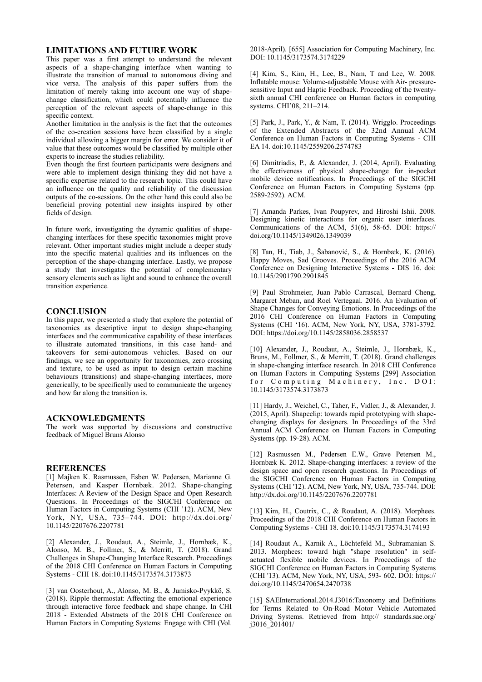# **LIMITATIONS AND FUTURE WORK**

This paper was a first attempt to understand the relevant aspects of a shape-changing interface when wanting to illustrate the transition of manual to autonomous diving and vice versa. The analysis of this paper suffers from the limitation of merely taking into account one way of shapechange classification, which could potentially influence the perception of the relevant aspects of shape-change in this specific context.

Another limitation in the analysis is the fact that the outcomes of the co-creation sessions have been classified by a single individual allowing a bigger margin for error. We consider it of value that these outcomes would be classified by multiple other experts to increase the studies reliability.

Even though the first fourteen participants were designers and were able to implement design thinking they did not have a specific expertise related to the research topic. This could have an influence on the quality and reliability of the discussion outputs of the co-sessions. On the other hand this could also be beneficial proving potential new insights inspired by other fields of design.

In future work, investigating the dynamic qualities of shapechanging interfaces for these specific taxonomies might prove relevant. Other important studies might include a deeper study into the specific material qualities and its influences on the perception of the shape-changing interface. Lastly, we propose a study that investigates the potential of complementary sensory elements such as light and sound to enhance the overall transition experience.

## **CONCLUSION**

In this paper, we presented a study that explore the potential of taxonomies as descriptive input to design shape-changing interfaces and the communicative capability of these interfaces to illustrate automated transitions, in this case hand- and takeovers for semi-autonomous vehicles. Based on our findings, we see an opportunity for taxonomies, zero crossing and texture, to be used as input to design certain machine behaviours (transitions) and shape-changing interfaces, more generically, to be specifically used to communicate the urgency and how far along the transition is.

## **ACKNOWLEDGMENTS**

The work was supported by discussions and constructive feedback of Miguel Bruns Alonso

# **REFERENCES**

[1] Majken K. Rasmussen, Esben W. Pedersen, Marianne G. Petersen, and Kasper Hornbæk. 2012. Shape-changing Interfaces: A Review of the Design Space and Open Research Questions. In Proceedings of the SIGCHI Conference on Human Factors in Computing Systems (CHI '12). ACM, New York, NY, USA, 735–744. DOI: http://dx.doi.org/ 10.1145/2207676.2207781

[2] Alexander, J., Roudaut, A., Steimle, J., Hornbæk, K., Alonso, M. B., Follmer, S., & Merritt, T. (2018). Grand Challenges in Shape-Changing Interface Research. Proceedings of the 2018 CHI Conference on Human Factors in Computing Systems - CHI 18. doi:10.1145/3173574.3173873

[3] van Oosterhout, A., Alonso, M. B., & Jumisko-Pyykkö, S. (2018). Ripple thermostat: Affecting the emotional experience through interactive force feedback and shape change. In CHI 2018 - Extended Abstracts of the 2018 CHI Conference on Human Factors in Computing Systems: Engage with CHI (Vol. 2018-April). [655] Association for Computing Machinery, Inc. DOI: 10.1145/3173574.3174229

[4] Kim, S., Kim, H., Lee, B., Nam, T and Lee, W. 2008. Inflatable mouse: Volume-adjustable Mouse with Air- pressuresensitive Input and Haptic Feedback. Proceeding of the twentysixth annual CHI conference on Human factors in computing systems. CHI'08, 211–214.

[5] Park, J., Park, Y., & Nam, T. (2014). Wrigglo. Proceedings of the Extended Abstracts of the 32nd Annual ACM Conference on Human Factors in Computing Systems - CHI EA 14. doi:10.1145/2559206.2574783

[6] Dimitriadis, P., & Alexander, J. (2014, April). Evaluating the effectiveness of physical shape-change for in-pocket mobile device notifications. In Proceedings of the SIGCHI Conference on Human Factors in Computing Systems (pp. 2589-2592). ACM.

[7] Amanda Parkes, Ivan Poupyrev, and Hiroshi Ishii. 2008. Designing kinetic interactions for organic user interfaces. Communications of the ACM, 51(6), 58-65. DOI: https:// doi.org/10.1145/1349026.1349039

[8] Tan, H., Tiab, J., Šabanović, S., & Hornbæk, K. (2016). Happy Moves, Sad Grooves. Proceedings of the 2016 ACM Conference on Designing Interactive Systems - DIS 16. doi: 10.1145/2901790.2901845

[9] Paul Strohmeier, Juan Pablo Carrascal, Bernard Cheng, Margaret Meban, and Roel Vertegaal. 2016. An Evaluation of Shape Changes for Conveying Emotions. In Proceedings of the 2016 CHI Conference on Human Factors in Computing Systems (CHI '16). ACM, New York, NY, USA, 3781-3792. DOI: https://doi.org/10.1145/2858036.2858537

[10] Alexander, J., Roudaut, A., Steimle, J., Hornbæk, K., Bruns, M., Follmer, S., & Merritt, T. (2018). Grand challenges in shape-changing interface research. In 2018 CHI Conference on Human Factors in Computing Systems [299] Association for Computing Machinery, Inc. DOI: 10.1145/3173574.3173873

[11] Hardy, J., Weichel, C., Taher, F., Vidler, J., & Alexander, J. (2015, April). Shapeclip: towards rapid prototyping with shapechanging displays for designers. In Proceedings of the 33rd Annual ACM Conference on Human Factors in Computing Systems (pp. 19-28). ACM.

[12] Rasmussen M., Pedersen E.W., Grave Petersen M., Hornbæk K. 2012. Shape-changing interfaces: a review of the design space and open research questions. In Proceedings of the SIGCHI Conference on Human Factors in Computing Systems (CHI '12). ACM, New York, NY, USA, 735-744. DOI: http://dx.doi.org/10.1145/2207676.2207781

[13] Kim, H., Coutrix, C., & Roudaut, A. (2018). Morphees. Proceedings of the 2018 CHI Conference on Human Factors in Computing Systems - CHI 18. doi:10.1145/3173574.3174193

[14] Roudaut A., Karnik A., Löchtefeld M., Subramanian S. 2013. Morphees: toward high "shape resolution" in selfactuated flexible mobile devices. In Proceedings of the SIGCHI Conference on Human Factors in Computing Systems (CHI '13). ACM, New York, NY, USA, 593- 602. DOI: https:// doi.org/10.1145/2470654.2470738

[15] SAEInternational.2014.J3016:Taxonomy and Definitions for Terms Related to On-Road Motor Vehicle Automated Driving Systems. Retrieved from http:// standards.sae.org/ j3016\_201401/